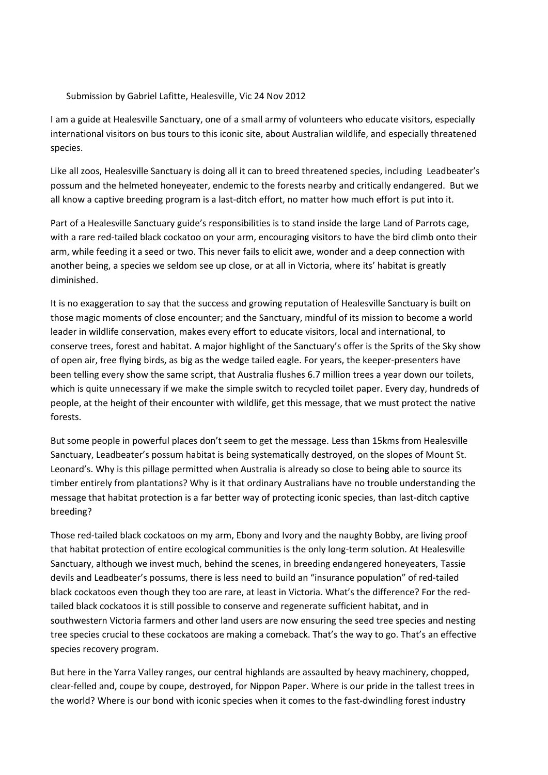## Submission by Gabriel Lafitte, Healesville, Vic 24 Nov 2012

I am a guide at Healesville Sanctuary, one of a small army of volunteers who educate visitors, especially international visitors on bus tours to this iconic site, about Australian wildlife, and especially threatened species.

Like all zoos, Healesville Sanctuary is doing all it can to breed threatened species, including Leadbeater's possum and the helmeted honeyeater, endemic to the forests nearby and critically endangered. But we all know a captive breeding program is a last-ditch effort, no matter how much effort is put into it.

Part of a Healesville Sanctuary guide's responsibilities is to stand inside the large Land of Parrots cage, with a rare red-tailed black cockatoo on your arm, encouraging visitors to have the bird climb onto their arm, while feeding it a seed or two. This never fails to elicit awe, wonder and a deep connection with another being, a species we seldom see up close, or at all in Victoria, where its' habitat is greatly diminished.

It is no exaggeration to say that the success and growing reputation of Healesville Sanctuary is built on those magic moments of close encounter; and the Sanctuary, mindful of its mission to become a world leader in wildlife conservation, makes every effort to educate visitors, local and international, to conserve trees, forest and habitat. A major highlight of the Sanctuary's offer is the Sprits of the Sky show of open air, free flying birds, as big as the wedge tailed eagle. For years, the keeper-presenters have been telling every show the same script, that Australia flushes 6.7 million trees a year down our toilets, which is quite unnecessary if we make the simple switch to recycled toilet paper. Every day, hundreds of people, at the height of their encounter with wildlife, get this message, that we must protect the native forests.

But some people in powerful places don't seem to get the message. Less than 15kms from Healesville Sanctuary, Leadbeater's possum habitat is being systematically destroyed, on the slopes of Mount St. Leonard's. Why is this pillage permitted when Australia is already so close to being able to source its timber entirely from plantations? Why is it that ordinary Australians have no trouble understanding the message that habitat protection is a far better way of protecting iconic species, than last-ditch captive breeding?

Those red-tailed black cockatoos on my arm, Ebony and Ivory and the naughty Bobby, are living proof that habitat protection of entire ecological communities is the only long-term solution. At Healesville Sanctuary, although we invest much, behind the scenes, in breeding endangered honeyeaters, Tassie devils and Leadbeater's possums, there is less need to build an "insurance population" of red-tailed black cockatoos even though they too are rare, at least in Victoria. What's the difference? For the redtailed black cockatoos it is still possible to conserve and regenerate sufficient habitat, and in southwestern Victoria farmers and other land users are now ensuring the seed tree species and nesting tree species crucial to these cockatoos are making a comeback. That's the way to go. That's an effective species recovery program.

But here in the Yarra Valley ranges, our central highlands are assaulted by heavy machinery, chopped, clear-felled and, coupe by coupe, destroyed, for Nippon Paper. Where is our pride in the tallest trees in the world? Where is our bond with iconic species when it comes to the fast-dwindling forest industry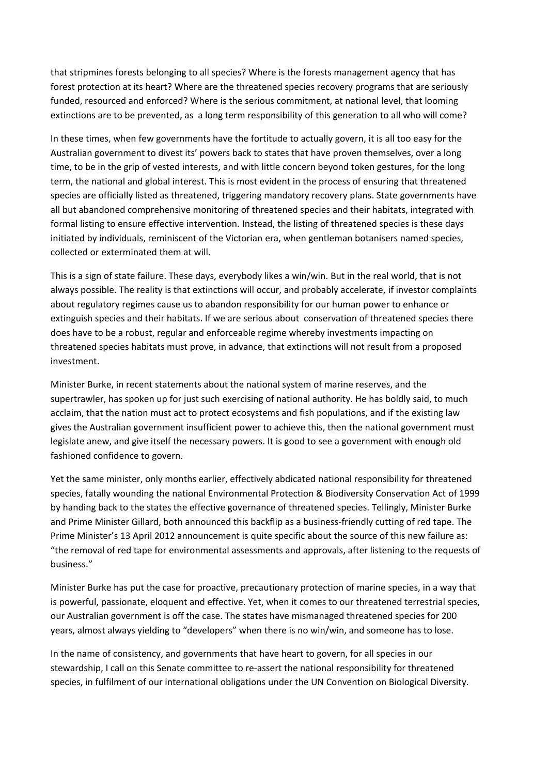that stripmines forests belonging to all species? Where is the forests management agency that has forest protection at its heart? Where are the threatened species recovery programs that are seriously funded, resourced and enforced? Where is the serious commitment, at national level, that looming extinctions are to be prevented, as a long term responsibility of this generation to all who will come?

In these times, when few governments have the fortitude to actually govern, it is all too easy for the Australian government to divest its' powers back to states that have proven themselves, over a long time, to be in the grip of vested interests, and with little concern beyond token gestures, for the long term, the national and global interest. This is most evident in the process of ensuring that threatened species are officially listed as threatened, triggering mandatory recovery plans. State governments have all but abandoned comprehensive monitoring of threatened species and their habitats, integrated with formal listing to ensure effective intervention. Instead, the listing of threatened species is these days initiated by individuals, reminiscent of the Victorian era, when gentleman botanisers named species, collected or exterminated them at will.

This is a sign of state failure. These days, everybody likes a win/win. But in the real world, that is not always possible. The reality is that extinctions will occur, and probably accelerate, if investor complaints about regulatory regimes cause us to abandon responsibility for our human power to enhance or extinguish species and their habitats. If we are serious about conservation of threatened species there does have to be a robust, regular and enforceable regime whereby investments impacting on threatened species habitats must prove, in advance, that extinctions will not result from a proposed investment.

Minister Burke, in recent statements about the national system of marine reserves, and the supertrawler, has spoken up for just such exercising of national authority. He has boldly said, to much acclaim, that the nation must act to protect ecosystems and fish populations, and if the existing law gives the Australian government insufficient power to achieve this, then the national government must legislate anew, and give itself the necessary powers. It is good to see a government with enough old fashioned confidence to govern.

Yet the same minister, only months earlier, effectively abdicated national responsibility for threatened species, fatally wounding the national Environmental Protection & Biodiversity Conservation Act of 1999 by handing back to the states the effective governance of threatened species. Tellingly, Minister Burke and Prime Minister Gillard, both announced this backflip as a business-friendly cutting of red tape. The Prime Minister's 13 April 2012 announcement is quite specific about the source of this new failure as: "the removal of red tape for environmental assessments and approvals, after listening to the requests of business."

Minister Burke has put the case for proactive, precautionary protection of marine species, in a way that is powerful, passionate, eloquent and effective. Yet, when it comes to our threatened terrestrial species, our Australian government is off the case. The states have mismanaged threatened species for 200 years, almost always yielding to "developers" when there is no win/win, and someone has to lose.

In the name of consistency, and governments that have heart to govern, for all species in our stewardship, I call on this Senate committee to re-assert the national responsibility for threatened species, in fulfilment of our international obligations under the UN Convention on Biological Diversity.